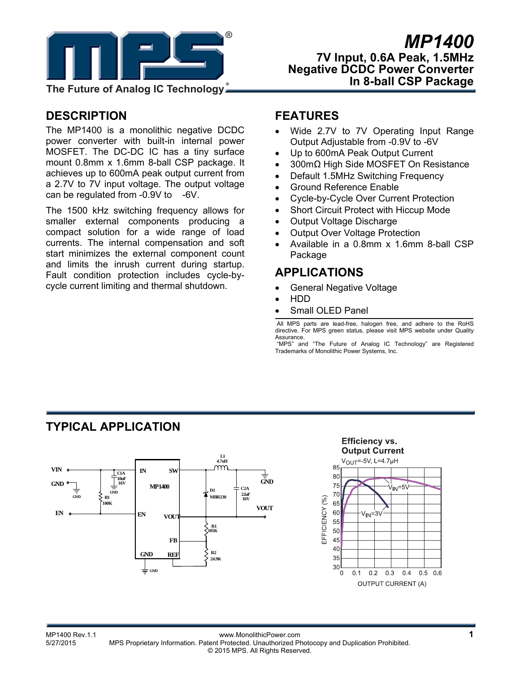

## **DESCRIPTION**

The MP1400 is a monolithic negative DCDC power converter with built-in internal power MOSFET. The DC-DC IC has a tiny surface mount 0.8mm x 1.6mm 8-ball CSP package. It achieves up to 600mA peak output current from a 2.7V to 7V input voltage. The output voltage can be regulated from -0.9V to -6V.

The 1500 kHz switching frequency allows for smaller external components producing a compact solution for a wide range of load currents. The internal compensation and soft start minimizes the external component count and limits the inrush current during startup. Fault condition protection includes cycle-bycycle current limiting and thermal shutdown.

## **FEATURES**

- Wide 2.7V to 7V Operating Input Range Output Adjustable from -0.9V to -6V
- Up to 600mA Peak Output Current
- 300mΩ High Side MOSFET On Resistance
- Default 1.5MHz Switching Frequency
- Ground Reference Enable
- Cycle-by-Cycle Over Current Protection
- Short Circuit Protect with Hiccup Mode
- Output Voltage Discharge
- Output Over Voltage Protection
- Available in a 0.8mm x 1.6mm 8-ball CSP Package

## **APPLICATIONS**

- General Negative Voltage
- HDD
- Small OLED Panel

 All MPS parts are lead-free, halogen free, and adhere to the RoHS directive. For MPS green status, please visit MPS website under Quality Assurance.

 "MPS" and "The Future of Analog IC Technology" are Registered Trademarks of Monolithic Power Systems, Inc.

## **TYPICAL APPLICATION**





#### MP1400 Rev.1.1 www.MonolithicPower.com **1** MPS Proprietary Information. Patent Protected. Unauthorized Photocopy and Duplication Prohibited. © 2015 MPS. All Rights Reserved.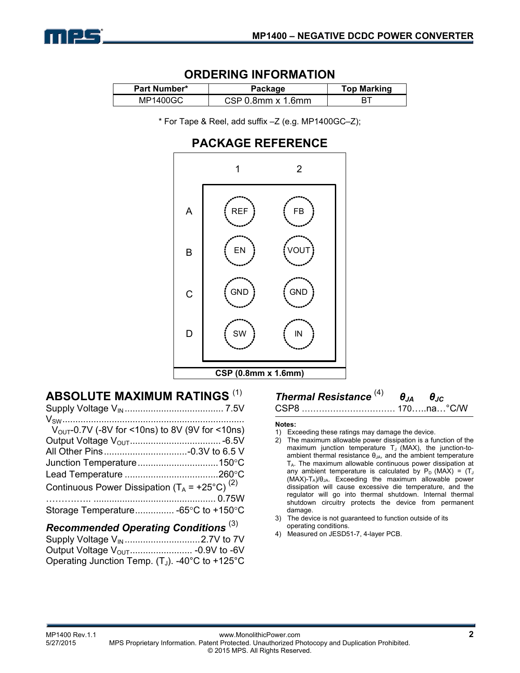

### **ORDERING INFORMATION**

| <b>Part Number*</b> | Package           | <b>Top Marking</b> |
|---------------------|-------------------|--------------------|
| MP1400GC            | CSP 0.8mm x 1.6mm |                    |

\* For Tape & Reel, add suffix –Z (e.g. MP1400GC–Z);

## **PACKAGE REFERENCE**



## **ABSOLUTE MAXIMUM RATINGS** (1)

| $V_{\text{OUT}}-0.7V$ (-8V for <10ns) to 8V (9V for <10ns) |  |
|------------------------------------------------------------|--|
|                                                            |  |
|                                                            |  |
|                                                            |  |
|                                                            |  |
| Continuous Power Dissipation $(T_A = +25^{\circ}C)^{(2)}$  |  |
|                                                            |  |
| Storage Temperature -65°C to +150°C                        |  |
|                                                            |  |

### *Recommended Operating Conditions* (3)

| Operating Junction Temp. $(T_J)$ . -40°C to +125°C |  |
|----------------------------------------------------|--|

# *Thermal Resistance* (4) *θJA θJC*

CSP8 …………………………… 170…..na…°C/W

#### **Notes:**

- 1) Exceeding these ratings may damage the device.
- 2) The maximum allowable power dissipation is a function of the maximum junction temperature  $T_J$  (MAX), the junction-toambient thermal resistance  $\theta_{JA}$ , and the ambient temperature  $T_A$ . The maximum allowable continuous power dissipation at any ambient temperature is calculated by  $P_D$  (MAX) = (T<sub>J</sub>  $(MAX)-T_A)/\theta_{JA}$ . Exceeding the maximum allowable power dissipation will cause excessive die temperature, and the regulator will go into thermal shutdown. Internal thermal shutdown circuitry protects the device from permanent damage.
- 3) The device is not guaranteed to function outside of its operating conditions.
- 4) Measured on JESD51-7, 4-layer PCB.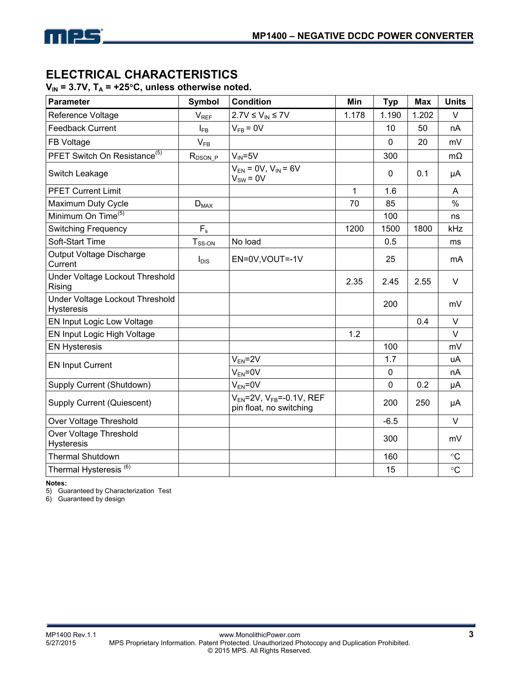# **ELECTRICAL CHARACTERISTICS**

 $V_{IN}$  = 3.7V,  $T_A$  = +25°C, unless otherwise noted.

| <b>Parameter</b>                                     | Symbol       | <b>Condition</b>                                              | Min   | <b>Typ</b>  | <b>Max</b> | <b>Units</b> |
|------------------------------------------------------|--------------|---------------------------------------------------------------|-------|-------------|------------|--------------|
| Reference Voltage                                    | $V_{REF}$    | $2.7V \leq V_{IN} \leq 7V$                                    | 1.178 | 1.190       | 1.202      | V            |
| <b>Feedback Current</b>                              | $I_{FB}$     | $V_{FB} = 0V$                                                 |       | 10          | 50         | nA           |
| FB Voltage                                           | $V_{FB}$     |                                                               |       | 0           | 20         | mV           |
| PFET Switch On Resistance <sup>(5)</sup>             | $R_{DSON_P}$ | $V_{IN} = 5V$                                                 |       | 300         |            | $m\Omega$    |
| Switch Leakage                                       |              | $V_{FN} = 0V$ , $V_{IN} = 6V$<br>$V_{SW} = 0V$                |       | $\mathbf 0$ | 0.1        | μA           |
| <b>PFET Current Limit</b>                            |              |                                                               | 1     | 1.6         |            | A            |
| Maximum Duty Cycle                                   | $D_{MAX}$    |                                                               | 70    | 85          |            | %            |
| Minimum On Time <sup>(5)</sup>                       |              |                                                               |       | 100         |            | ns           |
| <b>Switching Frequency</b>                           | $F_s$        |                                                               | 1200  | 1500        | 1800       | kHz          |
| Soft-Start Time                                      | $T_{SS-ON}$  | No load                                                       |       | 0.5         |            | ms           |
| Output Voltage Discharge<br>Current                  | $I_{DIS}$    | EN=0V, VOUT=-1V                                               |       | 25          |            | mA           |
| Under Voltage Lockout Threshold<br>Rising            |              |                                                               | 2.35  | 2.45        | 2.55       | V            |
| Under Voltage Lockout Threshold<br><b>Hysteresis</b> |              |                                                               |       | 200         |            | mV           |
| EN Input Logic Low Voltage                           |              |                                                               |       |             | 0.4        | V            |
| EN Input Logic High Voltage                          |              |                                                               | 1.2   |             |            | $\vee$       |
| <b>EN Hysteresis</b>                                 |              |                                                               |       | 100         |            | mV           |
| <b>EN Input Current</b>                              |              | $V_{EN} = 2V$                                                 |       | 1.7         |            | uA           |
|                                                      |              | $V_{FN} = 0V$                                                 |       | 0           |            | nA           |
| Supply Current (Shutdown)                            |              | $V_{EN} = 0V$                                                 |       | $\mathbf 0$ | 0.2        | μA           |
| Supply Current (Quiescent)                           |              | $V_{EN}$ =2V, $V_{FB}$ =-0.1V, REF<br>pin float, no switching |       | 200         | 250        | μA           |
| Over Voltage Threshold                               |              |                                                               |       | $-6.5$      |            | $\vee$       |
| Over Voltage Threshold<br><b>Hysteresis</b>          |              |                                                               |       | 300         |            | mV           |
| <b>Thermal Shutdown</b>                              |              |                                                               |       | 160         |            | $\circ$ C    |
| Thermal Hysteresis <sup>(6)</sup>                    |              |                                                               |       | 15          |            | $\circ$ C    |

**Notes:** 

5) Guaranteed by Characterization Test

6) Guaranteed by design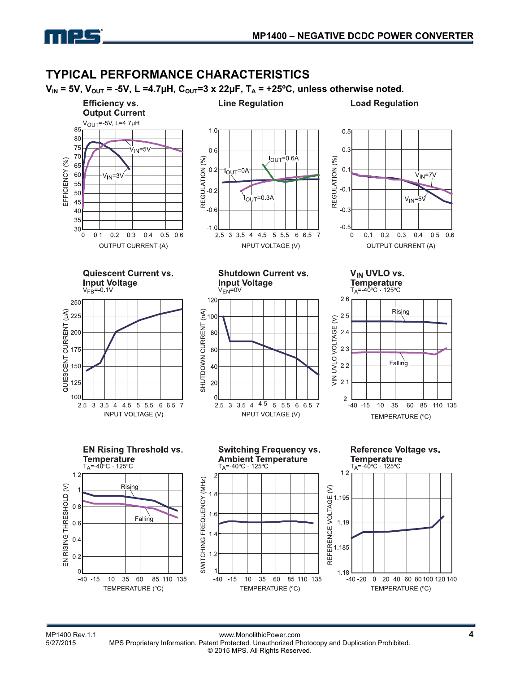

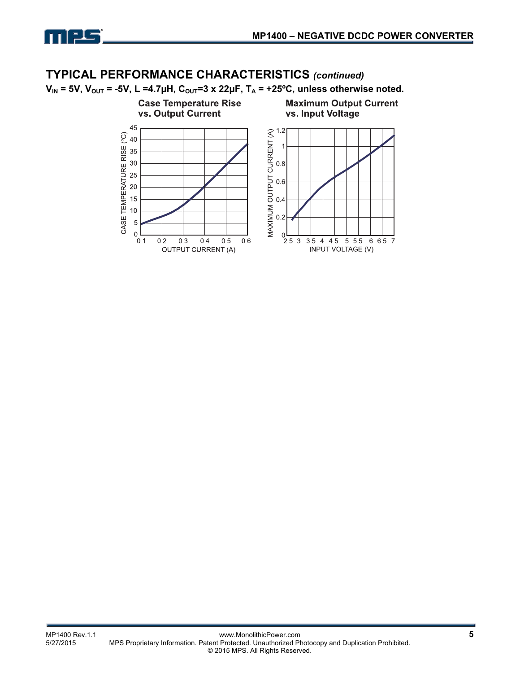

## **TYPICAL PERFORMANCE CHARACTERISTICS** *(continued)*

 $V_{IN}$  = 5V,  $V_{OUT}$  = -5V, L =4.7µH,  $C_{OUT}$ =3 x 22µF,  $T_A$  = +25°C, unless otherwise noted.

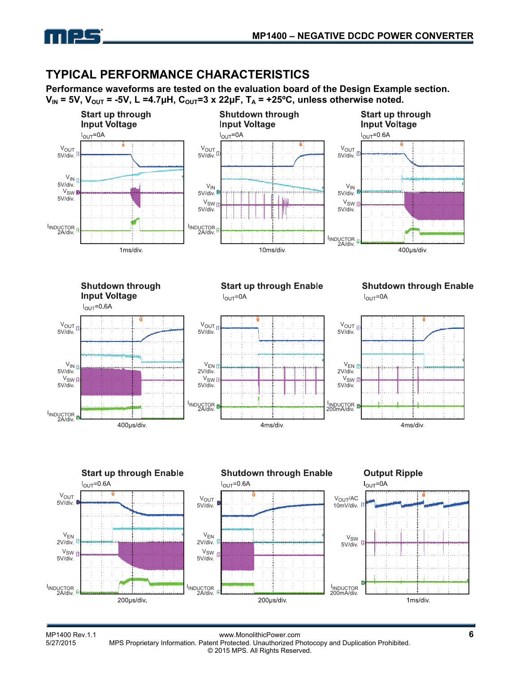

## **TYPICAL PERFORMANCE CHARACTERISTICS**

**Performance waveforms are tested on the evaluation board of the Design Example section.**   $V_{IN}$  = 5V,  $V_{OUT}$  = -5V, L =4.7µH,  $C_{OUT}$ =3 x 22µF,  $T_A$  = +25<sup>o</sup>C, unless otherwise noted.

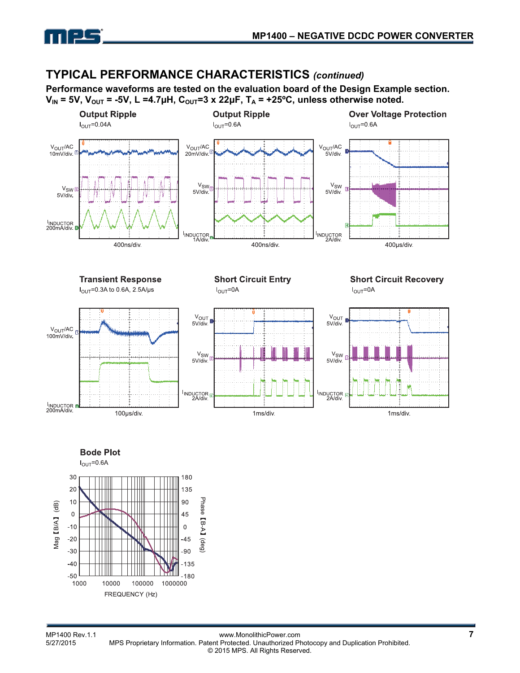

### **TYPICAL PERFORMANCE CHARACTERISTICS** *(continued)*

**Performance waveforms are tested on the evaluation board of the Design Example section.**   $V_{IN}$  = 5V,  $V_{OUT}$  = -5V, L =4.7µH,  $C_{OUT}$ =3 x 22µF,  $T_A$  = +25<sup>o</sup>C, unless otherwise noted.



**Bode Plot** 

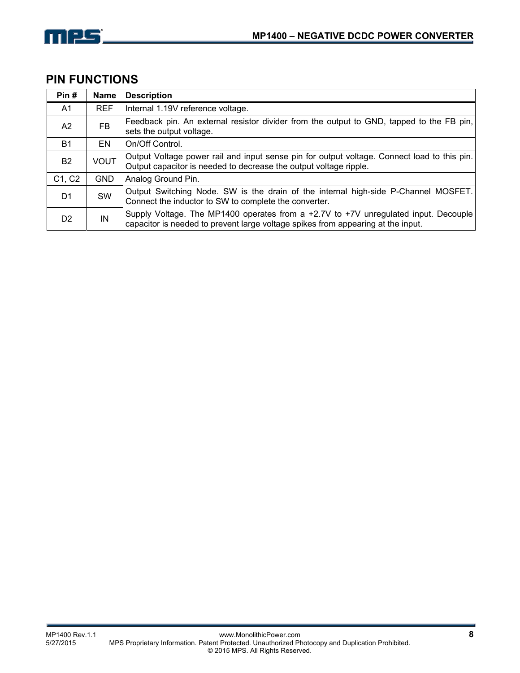

## **PIN FUNCTIONS**

| Pin#           | <b>Name</b> | <b>Description</b>                                                                                                                                                      |
|----------------|-------------|-------------------------------------------------------------------------------------------------------------------------------------------------------------------------|
| A1             | <b>REF</b>  | Internal 1.19V reference voltage.                                                                                                                                       |
| A2             | FB.         | Feedback pin. An external resistor divider from the output to GND, tapped to the FB pin,<br>sets the output voltage.                                                    |
| <b>B1</b>      | EN          | On/Off Control.                                                                                                                                                         |
| <b>B2</b>      | <b>VOUT</b> | Output Voltage power rail and input sense pin for output voltage. Connect load to this pin.<br>Output capacitor is needed to decrease the output voltage ripple.        |
| C1, C2         | <b>GND</b>  | Analog Ground Pin.                                                                                                                                                      |
| D <sub>1</sub> | <b>SW</b>   | Output Switching Node. SW is the drain of the internal high-side P-Channel MOSFET.<br>Connect the inductor to SW to complete the converter.                             |
| D <sub>2</sub> | IN          | Supply Voltage. The MP1400 operates from a +2.7V to +7V unregulated input. Decouple<br>capacitor is needed to prevent large voltage spikes from appearing at the input. |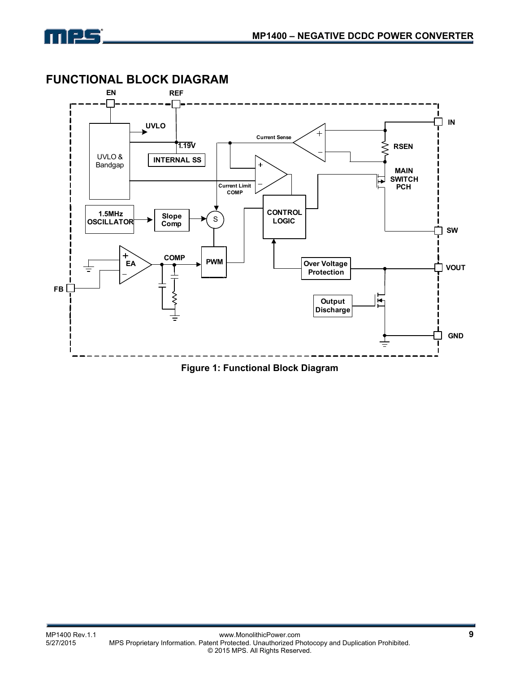



**Figure 1: Functional Block Diagram**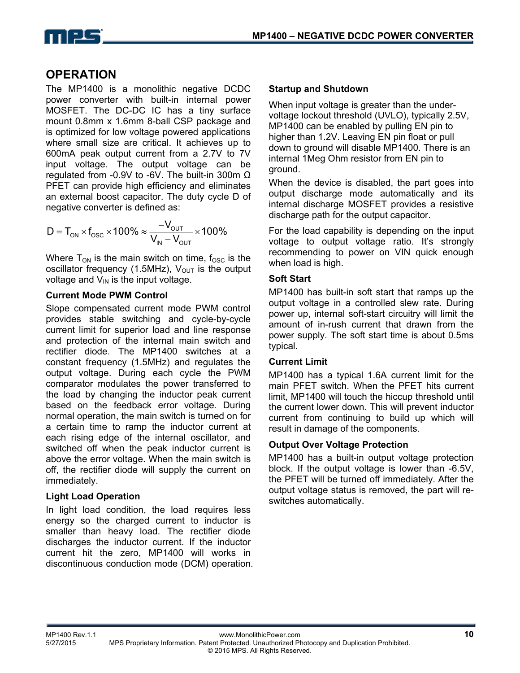

## **OPERATION**

The MP1400 is a monolithic negative DCDC power converter with built-in internal power MOSFET. The DC-DC IC has a tiny surface mount 0.8mm x 1.6mm 8-ball CSP package and is optimized for low voltage powered applications where small size are critical. It achieves up to 600mA peak output current from a 2.7V to 7V input voltage. The output voltage can be regulated from -0.9V to -6V. The built-in 300m Ω PFET can provide high efficiency and eliminates an external boost capacitor. The duty cycle D of negative converter is defined as:

$$
D = T_{ON} \times f_{OSC} \times 100\% \approx \frac{-V_{OUT}}{V_{IN} - V_{OUT}} \times 100\%
$$

Where  $T_{ON}$  is the main switch on time,  $f_{OSC}$  is the oscillator frequency (1.5MHz),  $V_{OUT}$  is the output voltage and  $V_{IN}$  is the input voltage.

#### **Current Mode PWM Control**

Slope compensated current mode PWM control provides stable switching and cycle-by-cycle current limit for superior load and line response and protection of the internal main switch and rectifier diode. The MP1400 switches at a constant frequency (1.5MHz) and regulates the output voltage. During each cycle the PWM comparator modulates the power transferred to the load by changing the inductor peak current based on the feedback error voltage. During normal operation, the main switch is turned on for a certain time to ramp the inductor current at each rising edge of the internal oscillator, and switched off when the peak inductor current is above the error voltage. When the main switch is off, the rectifier diode will supply the current on immediately.

#### **Light Load Operation**

In light load condition, the load requires less energy so the charged current to inductor is smaller than heavy load. The rectifier diode discharges the inductor current. If the inductor current hit the zero, MP1400 will works in discontinuous conduction mode (DCM) operation.

#### **Startup and Shutdown**

When input voltage is greater than the undervoltage lockout threshold (UVLO), typically 2.5V, MP1400 can be enabled by pulling EN pin to higher than 1.2V. Leaving EN pin float or pull down to ground will disable MP1400. There is an internal 1Meg Ohm resistor from EN pin to ground.

When the device is disabled, the part goes into output discharge mode automatically and its internal discharge MOSFET provides a resistive discharge path for the output capacitor.

For the load capability is depending on the input voltage to output voltage ratio. It's strongly recommending to power on VIN quick enough when load is high.

### **Soft Start**

MP1400 has built-in soft start that ramps up the output voltage in a controlled slew rate. During power up, internal soft-start circuitry will limit the amount of in-rush current that drawn from the power supply. The soft start time is about 0.5ms typical.

### **Current Limit**

MP1400 has a typical 1.6A current limit for the main PFET switch. When the PFET hits current limit, MP1400 will touch the hiccup threshold until the current lower down. This will prevent inductor current from continuing to build up which will result in damage of the components.

### **Output Over Voltage Protection**

MP1400 has a built-in output voltage protection block. If the output voltage is lower than -6.5V, the PFET will be turned off immediately. After the output voltage status is removed, the part will reswitches automatically.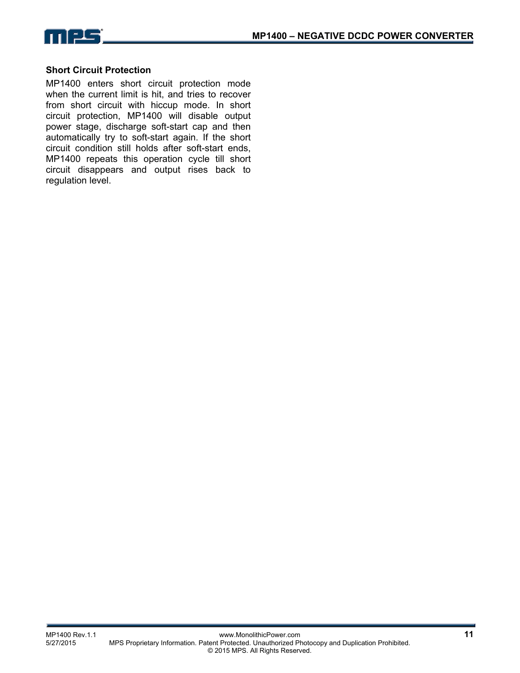

#### **Short Circuit Protection**

MP1400 enters short circuit protection mode when the current limit is hit, and tries to recover from short circuit with hiccup mode. In short circuit protection, MP1400 will disable output power stage, discharge soft-start cap and then automatically try to soft-start again. If the short circuit condition still holds after soft-start ends, MP1400 repeats this operation cycle till short circuit disappears and output rises back to regulation level.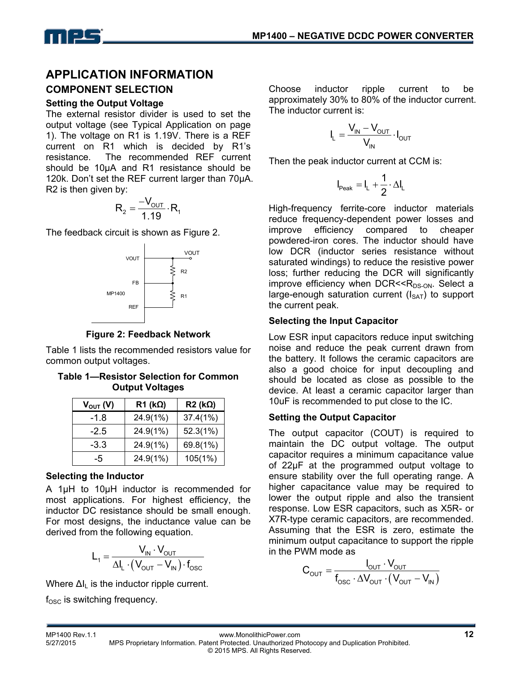## **APPLICATION INFORMATION**

### **COMPONENT SELECTION**

#### **Setting the Output Voltage**

The external resistor divider is used to set the output voltage (see Typical Application on page 1). The voltage on R1 is 1.19V. There is a REF current on R1 which is decided by R1's resistance. The recommended REF current should be 10µA and R1 resistance should be 120k. Don't set the REF current larger than 70uA. R2 is then given by:

$$
R_2 = \frac{-V_{\text{OUT}}}{1.19} \cdot R_1
$$

The feedback circuit is shown as Figure 2.



**Figure 2: Feedback Network**

Table 1 lists the recommended resistors value for common output voltages.

**Table 1—Resistor Selection for Common Output Voltages** 

| $V_{OUT} (V)$ | $R1$ (k $\Omega$ ) | $R2$ (kΩ) |
|---------------|--------------------|-----------|
| $-1.8$        | 24.9(1%)           | 37.4(1%)  |
| $-2.5$        | 24.9(1%)           | 52.3(1%)  |
| $-3.3$        | 24.9(1%)           | 69.8(1%)  |
| -5            | 24.9(1%)           | 105(1%)   |

### **Selecting the Inductor**

A 1µH to 10µH inductor is recommended for most applications. For highest efficiency, the inductor DC resistance should be small enough. For most designs, the inductance value can be derived from the following equation.

$$
L_{1} = \frac{V_{IN} \cdot V_{OUT}}{\Delta I_{L} \cdot (V_{OUT} - V_{IN}) \cdot f_{OSC}}
$$

Where  $\Delta I_L$  is the inductor ripple current.

 $f_{\rm OSC}$  is switching frequency.

Choose inductor ripple current to be approximately 30% to 80% of the inductor current. The inductor current is:

$$
I_L = \frac{V_{IN} - V_{OUT}}{V_{IN}} \cdot I_{OUT}
$$

Then the peak inductor current at CCM is:

$$
I_{\text{Peak}}=I_L+\frac{1}{2}\cdot\Delta I_L
$$

High-frequency ferrite-core inductor materials reduce frequency-dependent power losses and improve efficiency compared to cheaper powdered-iron cores. The inductor should have low DCR (inductor series resistance without saturated windings) to reduce the resistive power loss; further reducing the DCR will significantly improve efficiency when  $DCR < R_{DS-ON}$ . Select a large-enough saturation current  $(I<sub>SAT</sub>)$  to support the current peak.

### **Selecting the Input Capacitor**

Low ESR input capacitors reduce input switching noise and reduce the peak current drawn from the battery. It follows the ceramic capacitors are also a good choice for input decoupling and should be located as close as possible to the device. At least a ceramic capacitor larger than 10uF is recommended to put close to the IC.

### **Setting the Output Capacitor**

The output capacitor (COUT) is required to maintain the DC output voltage. The output capacitor requires a minimum capacitance value of 22μF at the programmed output voltage to ensure stability over the full operating range. A higher capacitance value may be required to lower the output ripple and also the transient response. Low ESR capacitors, such as X5R- or X7R-type ceramic capacitors, are recommended. Assuming that the ESR is zero, estimate the minimum output capacitance to support the ripple in the PWM mode as

$$
C_{\text{OUT}} = \frac{I_{\text{OUT}} \cdot V_{\text{OUT}}}{f_{\text{osc}} \cdot \Delta V_{\text{OUT}} \cdot (V_{\text{OUT}} - V_{\text{IN}})}
$$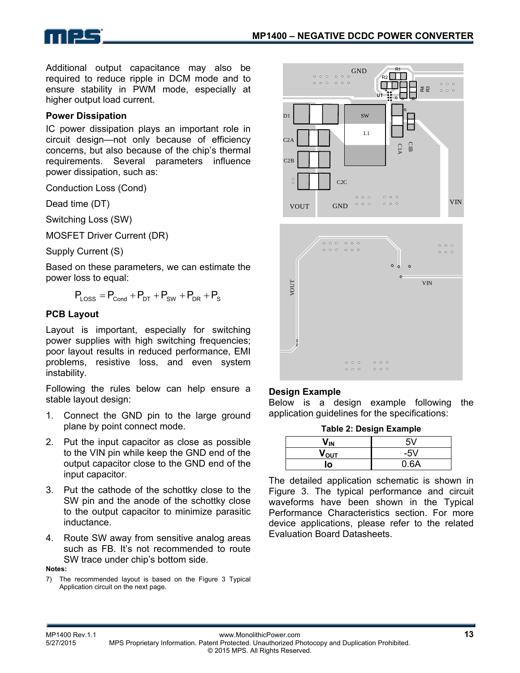

Additional output capacitance may also be required to reduce ripple in DCM mode and to ensure stability in PWM mode, especially at higher output load current.

#### **Power Dissipation**

IC power dissipation plays an important role in circuit design—not only because of efficiency concerns, but also because of the chip's thermal requirements. Several parameters influence power dissipation, such as:

Conduction Loss (Cond)

Dead time (DT)

Switching Loss (SW)

MOSFET Driver Current (DR)

Supply Current (S)

Based on these parameters, we can estimate the power loss to equal:

$$
P_{\text{Loss}} = P_{\text{Cond}} + P_{\text{DT}} + P_{\text{SW}} + P_{\text{DR}} + P_{\text{S}}
$$

#### **PCB Layout**

Layout is important, especially for switching power supplies with high switching frequencies; poor layout results in reduced performance, EMI problems, resistive loss, and even system instability.

Following the rules below can help ensure a stable layout design:

- 1. Connect the GND pin to the large ground plane by point connect mode.
- 2. Put the input capacitor as close as possible to the VIN pin while keep the GND end of the output capacitor close to the GND end of the input capacitor.
- 3. Put the cathode of the schottky close to the SW pin and the anode of the schottky close to the output capacitor to minimize parasitic inductance.
- 4. Route SW away from sensitive analog areas such as FB. It's not recommended to route SW trace under chip's bottom side.

**Notes:** 

7) The recommended layout is based on the Figure 3 Typical Application circuit on the next page.



#### **Design Example**

Below is a design example following the application guidelines for the specifications:

**Table 2: Design Example** 

| 'IN              | 5V    |
|------------------|-------|
| V <sub>ουτ</sub> | $-5V$ |
| lo               | 0.6A  |

The detailed application schematic is shown in Figure 3. The typical performance and circuit waveforms have been shown in the Typical Performance Characteristics section. For more device applications, please refer to the related Evaluation Board Datasheets.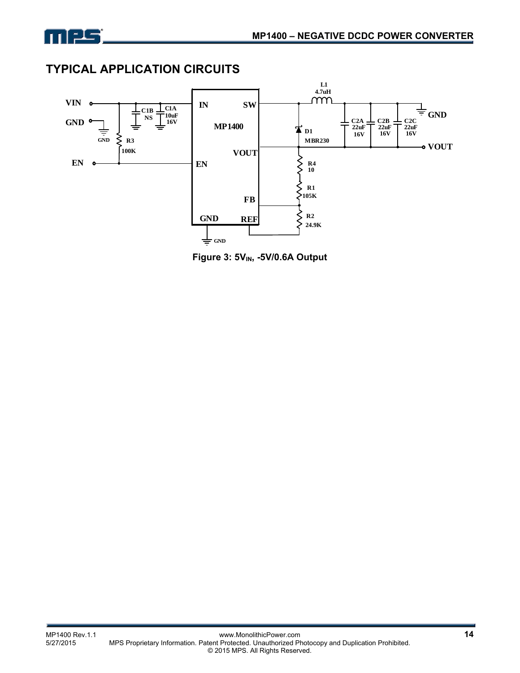

## **TYPICAL APPLICATION CIRCUITS**



**Figure 3: 5V<sub>IN</sub>, -5V/0.6A Output**